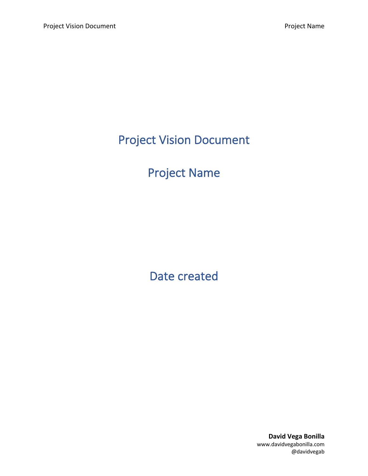Project Vision Document

# Project Name

Date created

**David Vega Bonilla** www.davidvegabonilla.com @davidvegab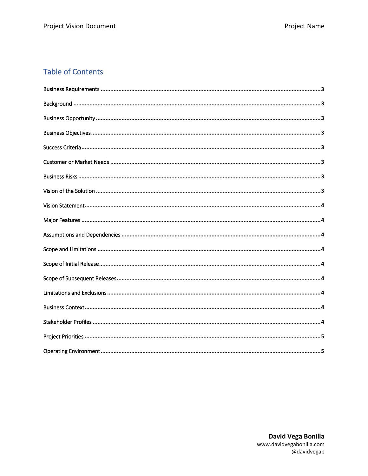# **Table of Contents**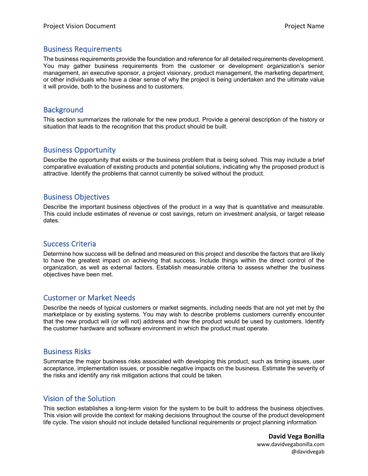#### Business Requirements

The business requirements provide the foundation and reference for all detailed requirements development. You may gather business requirements from the customer or development organization's senior management, an executive sponsor, a project visionary, product management, the marketing department, or other individuals who have a clear sense of why the project is being undertaken and the ultimate value it will provide, both to the business and to customers.

# **Background**

This section summarizes the rationale for the new product. Provide a general description of the history or situation that leads to the recognition that this product should be built.

# Business Opportunity

Describe the opportunity that exists or the business problem that is being solved. This may include a brief comparative evaluation of existing products and potential solutions, indicating why the proposed product is attractive. Identify the problems that cannot currently be solved without the product.

#### Business Objectives

Describe the important business objectives of the product in a way that is quantitative and measurable. This could include estimates of revenue or cost savings, return on investment analysis, or target release dates.

#### Success Criteria

Determine how success will be defined and measured on this project and describe the factors that are likely to have the greatest impact on achieving that success. Include things within the direct control of the organization, as well as external factors. Establish measurable criteria to assess whether the business objectives have been met.

#### Customer or Market Needs

Describe the needs of typical customers or market segments, including needs that are not yet met by the marketplace or by existing systems. You may wish to describe problems customers currently encounter that the new product will (or will not) address and how the product would be used by customers. Identify the customer hardware and software environment in which the product must operate.

#### Business Risks

Summarize the major business risks associated with developing this product, such as timing issues, user acceptance, implementation issues, or possible negative impacts on the business. Estimate the severity of the risks and identify any risk mitigation actions that could be taken.

#### Vision of the Solution

This section establishes a long-term vision for the system to be built to address the business objectives. This vision will provide the context for making decisions throughout the course of the product development life cycle. The vision should not include detailed functional requirements or project planning information

> **David Vega Bonilla** www.davidvegabonilla.com @davidvegab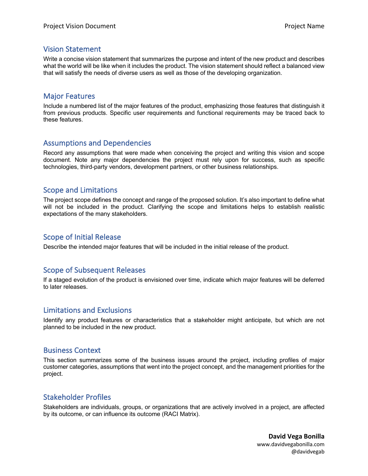#### Vision Statement

Write a concise vision statement that summarizes the purpose and intent of the new product and describes what the world will be like when it includes the product. The vision statement should reflect a balanced view that will satisfy the needs of diverse users as well as those of the developing organization.

#### Major Features

Include a numbered list of the major features of the product, emphasizing those features that distinguish it from previous products. Specific user requirements and functional requirements may be traced back to these features.

#### Assumptions and Dependencies

Record any assumptions that were made when conceiving the project and writing this vision and scope document. Note any major dependencies the project must rely upon for success, such as specific technologies, third-party vendors, development partners, or other business relationships.

#### Scope and Limitations

The project scope defines the concept and range of the proposed solution. It's also important to define what will not be included in the product. Clarifying the scope and limitations helps to establish realistic expectations of the many stakeholders.

# Scope of Initial Release

Describe the intended major features that will be included in the initial release of the product.

# Scope of Subsequent Releases

If a staged evolution of the product is envisioned over time, indicate which major features will be deferred to later releases.

#### Limitations and Exclusions

Identify any product features or characteristics that a stakeholder might anticipate, but which are not planned to be included in the new product.

#### Business Context

This section summarizes some of the business issues around the project, including profiles of major customer categories, assumptions that went into the project concept, and the management priorities for the project.

# Stakeholder Profiles

Stakeholders are individuals, groups, or organizations that are actively involved in a project, are affected by its outcome, or can influence its outcome (RACI Matrix).

> **David Vega Bonilla** www.davidvegabonilla.com @davidvegab